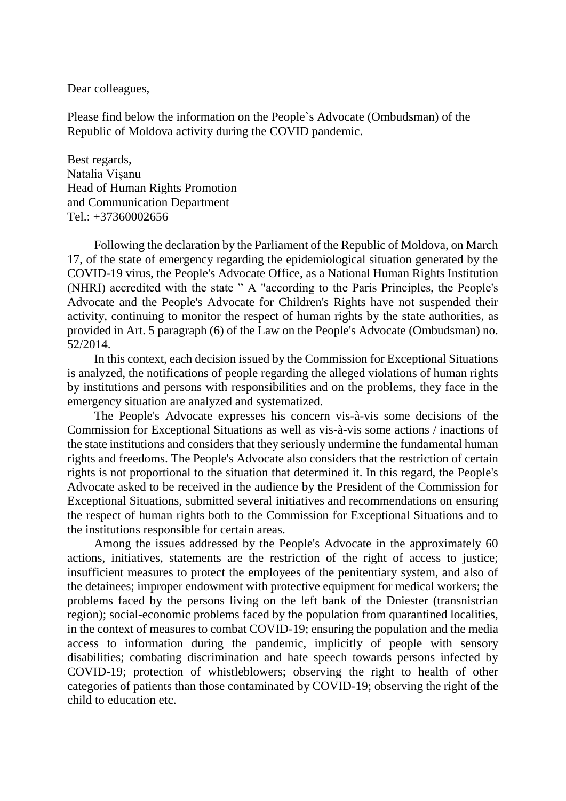Dear colleagues,

Please find below the information on the People`s Advocate (Ombudsman) of the Republic of Moldova activity during the COVID pandemic.

Best regards, Natalia Vișanu Head of Human Rights Promotion and Communication Department  $Tel + 37360002656$ 

Following the declaration by the Parliament of the Republic of Moldova, on March 17, of the state of emergency regarding the epidemiological situation generated by the COVID-19 virus, the People's Advocate Office, as a National Human Rights Institution (NHRI) accredited with the state " A "according to the Paris Principles, the People's Advocate and the People's Advocate for Children's Rights have not suspended their activity, continuing to monitor the respect of human rights by the state authorities, as provided in Art. 5 paragraph (6) of the Law on the People's Advocate (Ombudsman) no. 52/2014.

In this context, each decision issued by the Commission for Exceptional Situations is analyzed, the notifications of people regarding the alleged violations of human rights by institutions and persons with responsibilities and on the problems, they face in the emergency situation are analyzed and systematized.

The People's Advocate expresses his concern vis-à-vis some decisions of the Commission for Exceptional Situations as well as vis-à-vis some actions / inactions of the state institutions and considers that they seriously undermine the fundamental human rights and freedoms. The People's Advocate also considers that the restriction of certain rights is not proportional to the situation that determined it. In this regard, the People's Advocate asked to be received in the audience by the President of the Commission for Exceptional Situations, submitted several initiatives and recommendations on ensuring the respect of human rights both to the Commission for Exceptional Situations and to the institutions responsible for certain areas.

Among the issues addressed by the People's Advocate in the approximately 60 actions, initiatives, statements are the restriction of the right of access to justice; insufficient measures to protect the employees of the penitentiary system, and also of the detainees; improper endowment with protective equipment for medical workers; the problems faced by the persons living on the left bank of the Dniester (transnistrian region); social-economic problems faced by the population from quarantined localities, in the context of measures to combat COVID-19; ensuring the population and the media access to information during the pandemic, implicitly of people with sensory disabilities; combating discrimination and hate speech towards persons infected by COVID-19; protection of whistleblowers; observing the right to health of other categories of patients than those contaminated by COVID-19; observing the right of the child to education etc.